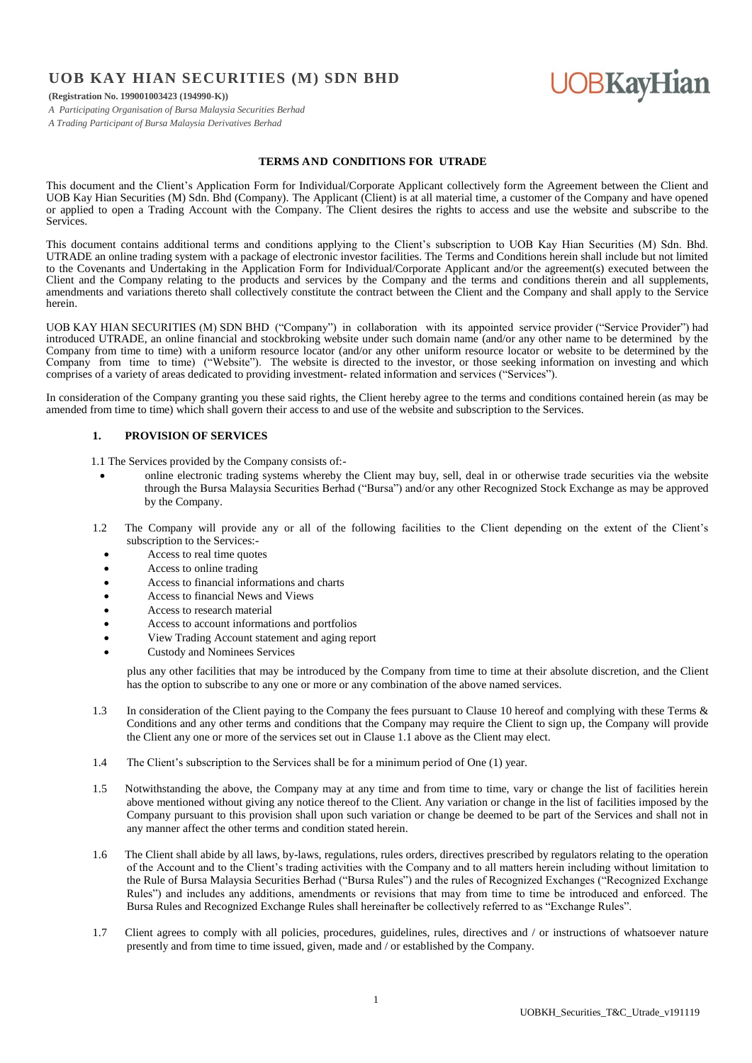# **UOB KAY HIAN SECURITIES (M) SDN BHD**

# **UOBKayHian**

**(Registration No. 199001003423 (194990-K))**

*A Participating Organisation of Bursa Malaysia Securities Berhad*

*A Trading Participant of Bursa Malaysia Derivatives Berhad*

# **TERMS AND CONDITIONS FOR UTRADE**

This document and the Client's Application Form for Individual/Corporate Applicant collectively form the Agreement between the Client and UOB Kay Hian Securities (M) Sdn. Bhd (Company). The Applicant (Client) is at all material time, a customer of the Company and have opened or applied to open a Trading Account with the Company. The Client desires the rights to access and use the website and subscribe to the Services.

This document contains additional terms and conditions applying to the Client's subscription to UOB Kay Hian Securities (M) Sdn. Bhd. UTRADE an online trading system with a package of electronic investor facilities. The Terms and Conditions herein shall include but not limited to the Covenants and Undertaking in the Application Form for Individual/Corporate Applicant and/or the agreement(s) executed between the Client and the Company relating to the products and services by the Company and the terms and conditions therein and all supplements, amendments and variations thereto shall collectively constitute the contract between the Client and the Company and shall apply to the Service herein.

UOB KAY HIAN SECURITIES (M) SDN BHD ("Company") in collaboration with its appointed service provider ("Service Provider") had introduced UTRADE, an online financial and stockbroking website under such domain name (and/or any other name to be determined by the Company from time to time) with a uniform resource locator (and/or any other uniform resource locator or website to be determined by the Company from time to time) ("Website"). The website is directed to the investor, or those seeking information on investing and which comprises of a variety of areas dedicated to providing investment- related information and services ("Services").

In consideration of the Company granting you these said rights, the Client hereby agree to the terms and conditions contained herein (as may be amended from time to time) which shall govern their access to and use of the website and subscription to the Services.

#### **1. PROVISION OF SERVICES**

- 1.1 The Services provided by the Company consists of:
	- online electronic trading systems whereby the Client may buy, sell, deal in or otherwise trade securities via the website through the Bursa Malaysia Securities Berhad ("Bursa") and/or any other Recognized Stock Exchange as may be approved by the Company.
- 1.2 The Company will provide any or all of the following facilities to the Client depending on the extent of the Client's subscription to the Services:-
	- Access to real time quotes
	- Access to online trading
	- Access to financial informations and charts
	- Access to financial News and Views
	- Access to research material
	- Access to account informations and portfolios
	- View Trading Account statement and aging report
	- Custody and Nominees Services

plus any other facilities that may be introduced by the Company from time to time at their absolute discretion, and the Client has the option to subscribe to any one or more or any combination of the above named services.

- 1.3 In consideration of the Client paying to the Company the fees pursuant to Clause 10 hereof and complying with these Terms & Conditions and any other terms and conditions that the Company may require the Client to sign up, the Company will provide the Client any one or more of the services set out in Clause 1.1 above as the Client may elect.
- 1.4 The Client's subscription to the Services shall be for a minimum period of One (1) year.
- 1.5 Notwithstanding the above, the Company may at any time and from time to time, vary or change the list of facilities herein above mentioned without giving any notice thereof to the Client. Any variation or change in the list of facilities imposed by the Company pursuant to this provision shall upon such variation or change be deemed to be part of the Services and shall not in any manner affect the other terms and condition stated herein.
- 1.6 The Client shall abide by all laws, by-laws, regulations, rules orders, directives prescribed by regulators relating to the operation of the Account and to the Client's trading activities with the Company and to all matters herein including without limitation to the Rule of Bursa Malaysia Securities Berhad ("Bursa Rules") and the rules of Recognized Exchanges ("Recognized Exchange Rules") and includes any additions, amendments or revisions that may from time to time be introduced and enforced. The Bursa Rules and Recognized Exchange Rules shall hereinafter be collectively referred to as "Exchange Rules".
- 1.7 Client agrees to comply with all policies, procedures, guidelines, rules, directives and / or instructions of whatsoever nature presently and from time to time issued, given, made and / or established by the Company.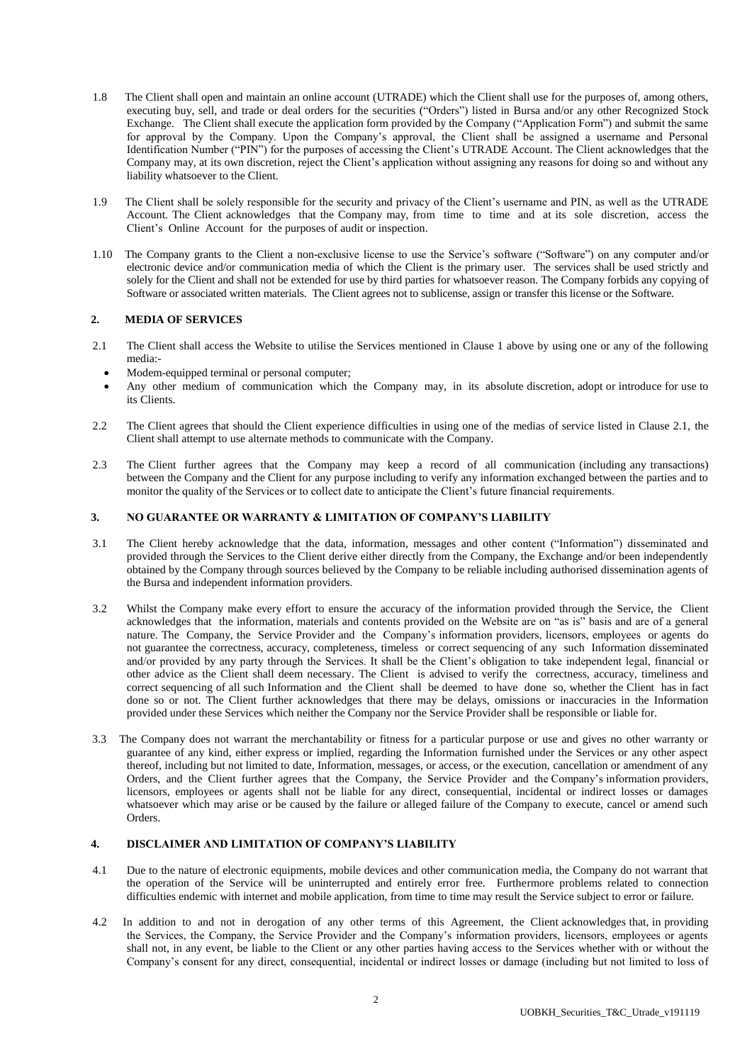- 1.8 The Client shall open and maintain an online account (UTRADE) which the Client shall use for the purposes of, among others, executing buy, sell, and trade or deal orders for the securities ("Orders") listed in Bursa and/or any other Recognized Stock Exchange. The Client shall execute the application form provided by the Company ("Application Form") and submit the same for approval by the Company. Upon the Company's approval, the Client shall be assigned a username and Personal Identification Number ("PIN") for the purposes of accessing the Client's UTRADE Account. The Client acknowledges that the Company may, at its own discretion, reject the Client's application without assigning any reasons for doing so and without any liability whatsoever to the Client.
- 1.9 The Client shall be solely responsible for the security and privacy of the Client's username and PIN, as well as the UTRADE Account. The Client acknowledges that the Company may, from time to time and at its sole discretion, access the Client's Online Account for the purposes of audit or inspection.
- 1.10 The Company grants to the Client a non-exclusive license to use the Service's software ("Software") on any computer and/or electronic device and/or communication media of which the Client is the primary user. The services shall be used strictly and solely for the Client and shall not be extended for use by third parties for whatsoever reason. The Company forbids any copying of Software or associated written materials. The Client agrees not to sublicense, assign or transfer this license or the Software.

# **2. MEDIA OF SERVICES**

- 2.1 The Client shall access the Website to utilise the Services mentioned in Clause 1 above by using one or any of the following media:-
	- Modem-equipped terminal or personal computer;
- Any other medium of communication which the Company may, in its absolute discretion, adopt or introduce for use to its Clients.
- 2.2 The Client agrees that should the Client experience difficulties in using one of the medias of service listed in Clause 2.1, the Client shall attempt to use alternate methods to communicate with the Company.
- 2.3 The Client further agrees that the Company may keep a record of all communication (including any transactions) between the Company and the Client for any purpose including to verify any information exchanged between the parties and to monitor the quality of the Services or to collect date to anticipate the Client's future financial requirements.

# **3. NO GUARANTEE OR WARRANTY & LIMITATION OF COMPANY'S LIABILITY**

- 3.1 The Client hereby acknowledge that the data, information, messages and other content ("Information") disseminated and provided through the Services to the Client derive either directly from the Company, the Exchange and/or been independently obtained by the Company through sources believed by the Company to be reliable including authorised dissemination agents of the Bursa and independent information providers.
- 3.2 Whilst the Company make every effort to ensure the accuracy of the information provided through the Service, the Client acknowledges that the information, materials and contents provided on the Website are on "as is" basis and are of a general nature. The Company, the Service Provider and the Company's information providers, licensors, employees or agents do not guarantee the correctness, accuracy, completeness, timeless or correct sequencing of any such Information disseminated and/or provided by any party through the Services. It shall be the Client's obligation to take independent legal, financial or other advice as the Client shall deem necessary. The Client is advised to verify the correctness, accuracy, timeliness and correct sequencing of all such Information and the Client shall be deemed to have done so, whether the Client has in fact done so or not. The Client further acknowledges that there may be delays, omissions or inaccuracies in the Information provided under these Services which neither the Company nor the Service Provider shall be responsible or liable for.
- 3.3 The Company does not warrant the merchantability or fitness for a particular purpose or use and gives no other warranty or guarantee of any kind, either express or implied, regarding the Information furnished under the Services or any other aspect thereof, including but not limited to date, Information, messages, or access, or the execution, cancellation or amendment of any Orders, and the Client further agrees that the Company, the Service Provider and the Company's information providers, licensors, employees or agents shall not be liable for any direct, consequential, incidental or indirect losses or damages whatsoever which may arise or be caused by the failure or alleged failure of the Company to execute, cancel or amend such Orders.

#### **4. DISCLAIMER AND LIMITATION OF COMPANY'S LIABILITY**

- 4.1 Due to the nature of electronic equipments, mobile devices and other communication media, the Company do not warrant that the operation of the Service will be uninterrupted and entirely error free. Furthermore problems related to connection difficulties endemic with internet and mobile application, from time to time may result the Service subject to error or failure.
- 4.2 In addition to and not in derogation of any other terms of this Agreement, the Client acknowledges that, in providing the Services, the Company, the Service Provider and the Company's information providers, licensors, employees or agents shall not, in any event, be liable to the Client or any other parties having access to the Services whether with or without the Company's consent for any direct, consequential, incidental or indirect losses or damage (including but not limited to loss of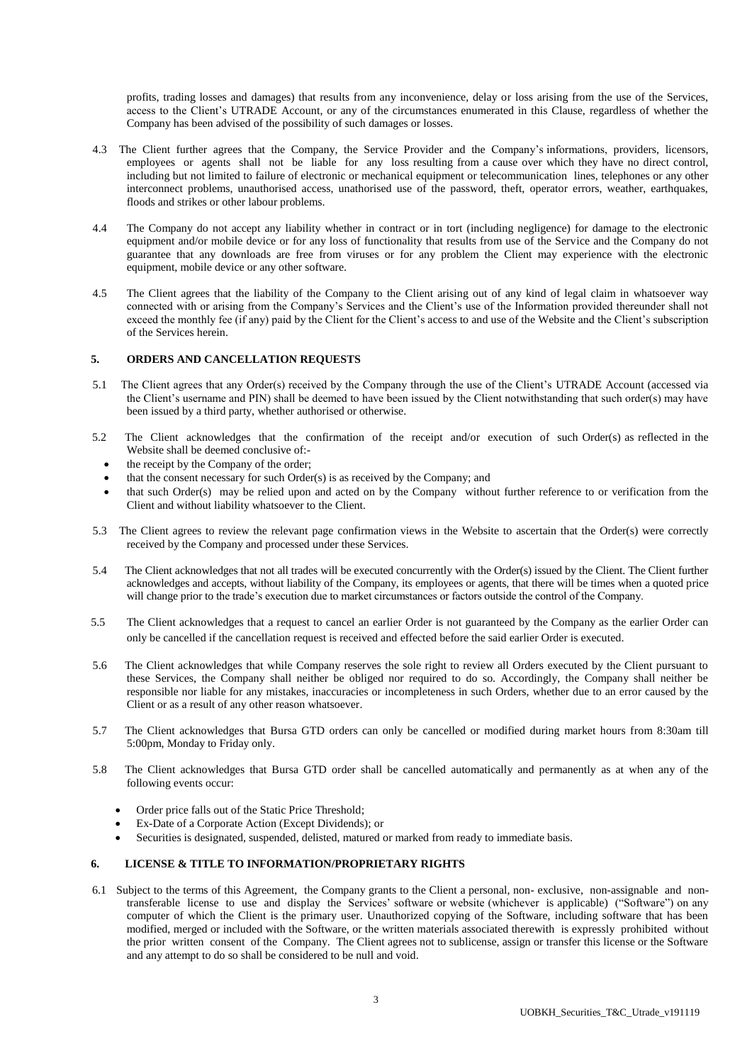profits, trading losses and damages) that results from any inconvenience, delay or loss arising from the use of the Services, access to the Client's UTRADE Account, or any of the circumstances enumerated in this Clause, regardless of whether the Company has been advised of the possibility of such damages or losses.

- 4.3 The Client further agrees that the Company, the Service Provider and the Company's informations, providers, licensors, employees or agents shall not be liable for any loss resulting from a cause over which they have no direct control, including but not limited to failure of electronic or mechanical equipment or telecommunication lines, telephones or any other interconnect problems, unauthorised access, unathorised use of the password, theft, operator errors, weather, earthquakes, floods and strikes or other labour problems.
- 4.4 The Company do not accept any liability whether in contract or in tort (including negligence) for damage to the electronic equipment and/or mobile device or for any loss of functionality that results from use of the Service and the Company do not guarantee that any downloads are free from viruses or for any problem the Client may experience with the electronic equipment, mobile device or any other software.
- 4.5 The Client agrees that the liability of the Company to the Client arising out of any kind of legal claim in whatsoever way connected with or arising from the Company's Services and the Client's use of the Information provided thereunder shall not exceed the monthly fee (if any) paid by the Client for the Client's access to and use of the Website and the Client's subscription of the Services herein.

# **5. ORDERS AND CANCELLATION REQUESTS**

- 5.1 The Client agrees that any Order(s) received by the Company through the use of the Client's UTRADE Account (accessed via the Client's username and PIN) shall be deemed to have been issued by the Client notwithstanding that such order(s) may have been issued by a third party, whether authorised or otherwise.
- 5.2 The Client acknowledges that the confirmation of the receipt and/or execution of such Order(s) as reflected in the Website shall be deemed conclusive of:
	- the receipt by the Company of the order;
	- that the consent necessary for such Order(s) is as received by the Company; and
	- that such Order(s) may be relied upon and acted on by the Company without further reference to or verification from the Client and without liability whatsoever to the Client.
- 5.3 The Client agrees to review the relevant page confirmation views in the Website to ascertain that the Order(s) were correctly received by the Company and processed under these Services.
- 5.4 The Client acknowledges that not all trades will be executed concurrently with the Order(s) issued by the Client. The Client further acknowledges and accepts, without liability of the Company, its employees or agents, that there will be times when a quoted price will change prior to the trade's execution due to market circumstances or factors outside the control of the Company.
- 5.5 The Client acknowledges that a request to cancel an earlier Order is not guaranteed by the Company as the earlier Order can only be cancelled if the cancellation request is received and effected before the said earlier Order is executed.
- 5.6 The Client acknowledges that while Company reserves the sole right to review all Orders executed by the Client pursuant to these Services, the Company shall neither be obliged nor required to do so. Accordingly, the Company shall neither be responsible nor liable for any mistakes, inaccuracies or incompleteness in such Orders, whether due to an error caused by the Client or as a result of any other reason whatsoever.
- 5.7 The Client acknowledges that Bursa GTD orders can only be cancelled or modified during market hours from 8:30am till 5:00pm, Monday to Friday only.
- 5.8 The Client acknowledges that Bursa GTD order shall be cancelled automatically and permanently as at when any of the following events occur:
	- Order price falls out of the Static Price Threshold;
	- Ex-Date of a Corporate Action (Except Dividends); or
	- Securities is designated, suspended, delisted, matured or marked from ready to immediate basis.

# **6. LICENSE & TITLE TO INFORMATION/PROPRIETARY RIGHTS**

6.1 Subject to the terms of this Agreement, the Company grants to the Client a personal, non- exclusive, non-assignable and nontransferable license to use and display the Services' software or website (whichever is applicable) ("Software") on any computer of which the Client is the primary user. Unauthorized copying of the Software, including software that has been modified, merged or included with the Software, or the written materials associated therewith is expressly prohibited without the prior written consent of the Company. The Client agrees not to sublicense, assign or transfer this license or the Software and any attempt to do so shall be considered to be null and void.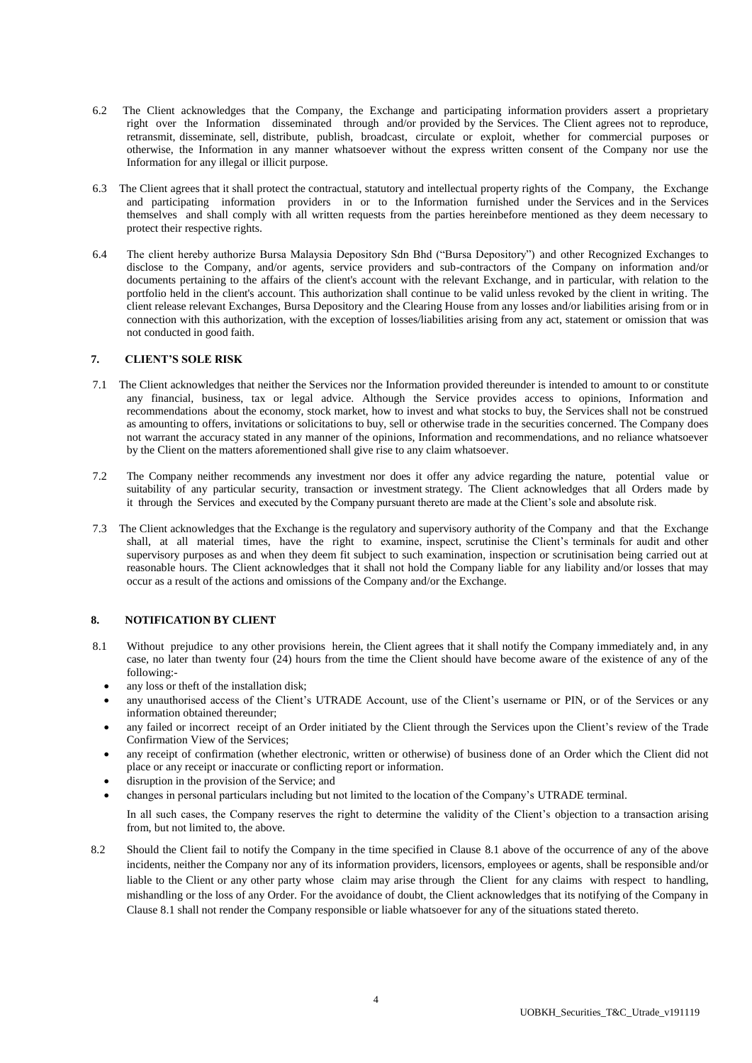- 6.2 The Client acknowledges that the Company, the Exchange and participating information providers assert a proprietary right over the Information disseminated through and/or provided by the Services. The Client agrees not to reproduce, retransmit, disseminate, sell, distribute, publish, broadcast, circulate or exploit, whether for commercial purposes or otherwise, the Information in any manner whatsoever without the express written consent of the Company nor use the Information for any illegal or illicit purpose.
- 6.3 The Client agrees that it shall protect the contractual, statutory and intellectual property rights of the Company, the Exchange and participating information providers in or to the Information furnished under the Services and in the Services themselves and shall comply with all written requests from the parties hereinbefore mentioned as they deem necessary to protect their respective rights.
- 6.4 The client hereby authorize Bursa Malaysia Depository Sdn Bhd ("Bursa Depository") and other Recognized Exchanges to disclose to the Company, and/or agents, service providers and sub-contractors of the Company on information and/or documents pertaining to the affairs of the client's account with the relevant Exchange, and in particular, with relation to the portfolio held in the client's account. This authorization shall continue to be valid unless revoked by the client in writing. The client release relevant Exchanges, Bursa Depository and the Clearing House from any losses and/or liabilities arising from or in connection with this authorization, with the exception of losses/liabilities arising from any act, statement or omission that was not conducted in good faith.

#### **7. CLIENT'S SOLE RISK**

- 7.1 The Client acknowledges that neither the Services nor the Information provided thereunder is intended to amount to or constitute any financial, business, tax or legal advice. Although the Service provides access to opinions, Information and recommendations about the economy, stock market, how to invest and what stocks to buy, the Services shall not be construed as amounting to offers, invitations or solicitations to buy, sell or otherwise trade in the securities concerned. The Company does not warrant the accuracy stated in any manner of the opinions, Information and recommendations, and no reliance whatsoever by the Client on the matters aforementioned shall give rise to any claim whatsoever.
- 7.2 The Company neither recommends any investment nor does it offer any advice regarding the nature, potential value or suitability of any particular security, transaction or investment strategy. The Client acknowledges that all Orders made by it through the Services and executed by the Company pursuant thereto are made at the Client's sole and absolute risk.
- 7.3 The Client acknowledges that the Exchange is the regulatory and supervisory authority of the Company and that the Exchange shall, at all material times, have the right to examine, inspect, scrutinise the Client's terminals for audit and other supervisory purposes as and when they deem fit subject to such examination, inspection or scrutinisation being carried out at reasonable hours. The Client acknowledges that it shall not hold the Company liable for any liability and/or losses that may occur as a result of the actions and omissions of the Company and/or the Exchange.

#### **8. NOTIFICATION BY CLIENT**

- 8.1 Without prejudice to any other provisions herein, the Client agrees that it shall notify the Company immediately and, in any case, no later than twenty four (24) hours from the time the Client should have become aware of the existence of any of the following:
	- any loss or theft of the installation disk;
	- any unauthorised access of the Client's UTRADE Account, use of the Client's username or PIN, or of the Services or any information obtained thereunder;
	- any failed or incorrect receipt of an Order initiated by the Client through the Services upon the Client's review of the Trade Confirmation View of the Services;
	- any receipt of confirmation (whether electronic, written or otherwise) of business done of an Order which the Client did not place or any receipt or inaccurate or conflicting report or information.
	- disruption in the provision of the Service; and
	- changes in personal particulars including but not limited to the location of the Company's UTRADE terminal.

In all such cases, the Company reserves the right to determine the validity of the Client's objection to a transaction arising from, but not limited to, the above.

8.2 Should the Client fail to notify the Company in the time specified in Clause 8.1 above of the occurrence of any of the above incidents, neither the Company nor any of its information providers, licensors, employees or agents, shall be responsible and/or liable to the Client or any other party whose claim may arise through the Client for any claims with respect to handling, mishandling or the loss of any Order. For the avoidance of doubt, the Client acknowledges that its notifying of the Company in Clause 8.1 shall not render the Company responsible or liable whatsoever for any of the situations stated thereto.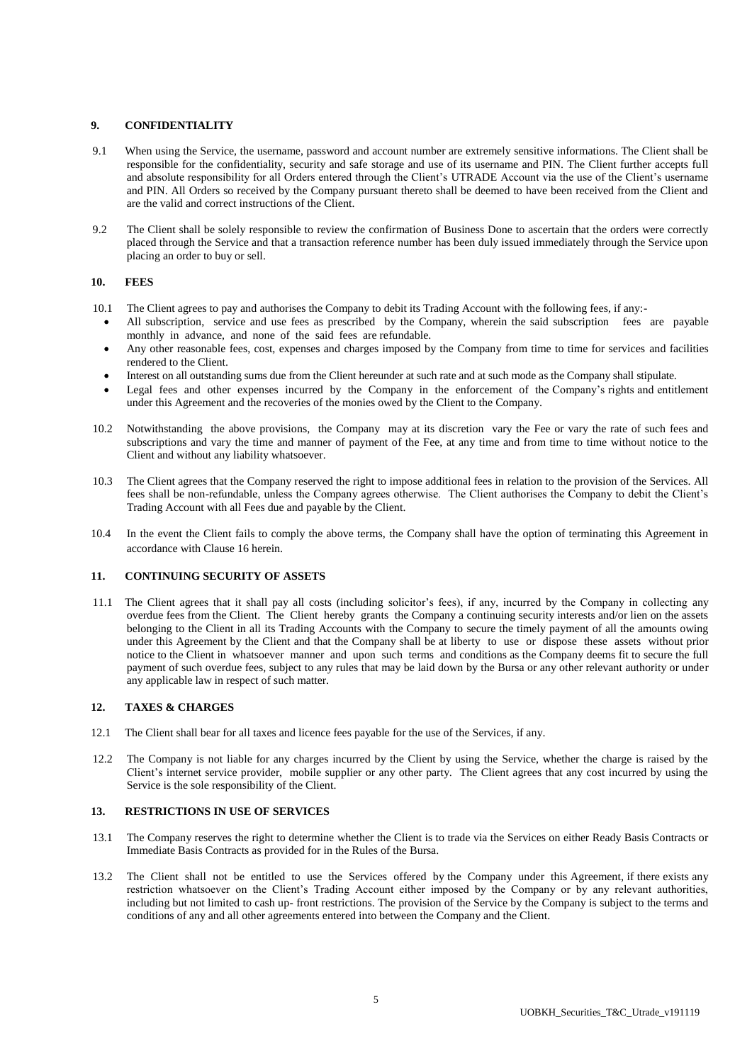# **9. CONFIDENTIALITY**

- 9.1 When using the Service, the username, password and account number are extremely sensitive informations. The Client shall be responsible for the confidentiality, security and safe storage and use of its username and PIN. The Client further accepts full and absolute responsibility for all Orders entered through the Client's UTRADE Account via the use of the Client's username and PIN. All Orders so received by the Company pursuant thereto shall be deemed to have been received from the Client and are the valid and correct instructions of the Client.
- 9.2 The Client shall be solely responsible to review the confirmation of Business Done to ascertain that the orders were correctly placed through the Service and that a transaction reference number has been duly issued immediately through the Service upon placing an order to buy or sell.

# **10. FEES**

- 10.1 The Client agrees to pay and authorises the Company to debit its Trading Account with the following fees, if any:-
	- All subscription, service and use fees as prescribed by the Company, wherein the said subscription fees are payable monthly in advance, and none of the said fees are refundable.
	- Any other reasonable fees, cost, expenses and charges imposed by the Company from time to time for services and facilities rendered to the Client.
	- Interest on all outstanding sums due from the Client hereunder at such rate and at such mode as the Company shall stipulate.
	- Legal fees and other expenses incurred by the Company in the enforcement of the Company's rights and entitlement under this Agreement and the recoveries of the monies owed by the Client to the Company.
- 10.2 Notwithstanding the above provisions, the Company may at its discretion vary the Fee or vary the rate of such fees and subscriptions and vary the time and manner of payment of the Fee, at any time and from time to time without notice to the Client and without any liability whatsoever.
- 10.3 The Client agrees that the Company reserved the right to impose additional fees in relation to the provision of the Services. All fees shall be non-refundable, unless the Company agrees otherwise. The Client authorises the Company to debit the Client's Trading Account with all Fees due and payable by the Client.
- 10.4 In the event the Client fails to comply the above terms, the Company shall have the option of terminating this Agreement in accordance with Clause 16 herein.

# **11. CONTINUING SECURITY OF ASSETS**

11.1 The Client agrees that it shall pay all costs (including solicitor's fees), if any, incurred by the Company in collecting any overdue fees from the Client. The Client hereby grants the Company a continuing security interests and/or lien on the assets belonging to the Client in all its Trading Accounts with the Company to secure the timely payment of all the amounts owing under this Agreement by the Client and that the Company shall be at liberty to use or dispose these assets without prior notice to the Client in whatsoever manner and upon such terms and conditions as the Company deems fit to secure the full payment of such overdue fees, subject to any rules that may be laid down by the Bursa or any other relevant authority or under any applicable law in respect of such matter.

#### **12. TAXES & CHARGES**

- 12.1 The Client shall bear for all taxes and licence fees payable for the use of the Services, if any.
- 12.2 The Company is not liable for any charges incurred by the Client by using the Service, whether the charge is raised by the Client's internet service provider, mobile supplier or any other party. The Client agrees that any cost incurred by using the Service is the sole responsibility of the Client.

#### **13. RESTRICTIONS IN USE OF SERVICES**

- 13.1 The Company reserves the right to determine whether the Client is to trade via the Services on either Ready Basis Contracts or Immediate Basis Contracts as provided for in the Rules of the Bursa.
- 13.2 The Client shall not be entitled to use the Services offered by the Company under this Agreement, if there exists any restriction whatsoever on the Client's Trading Account either imposed by the Company or by any relevant authorities, including but not limited to cash up- front restrictions. The provision of the Service by the Company is subject to the terms and conditions of any and all other agreements entered into between the Company and the Client.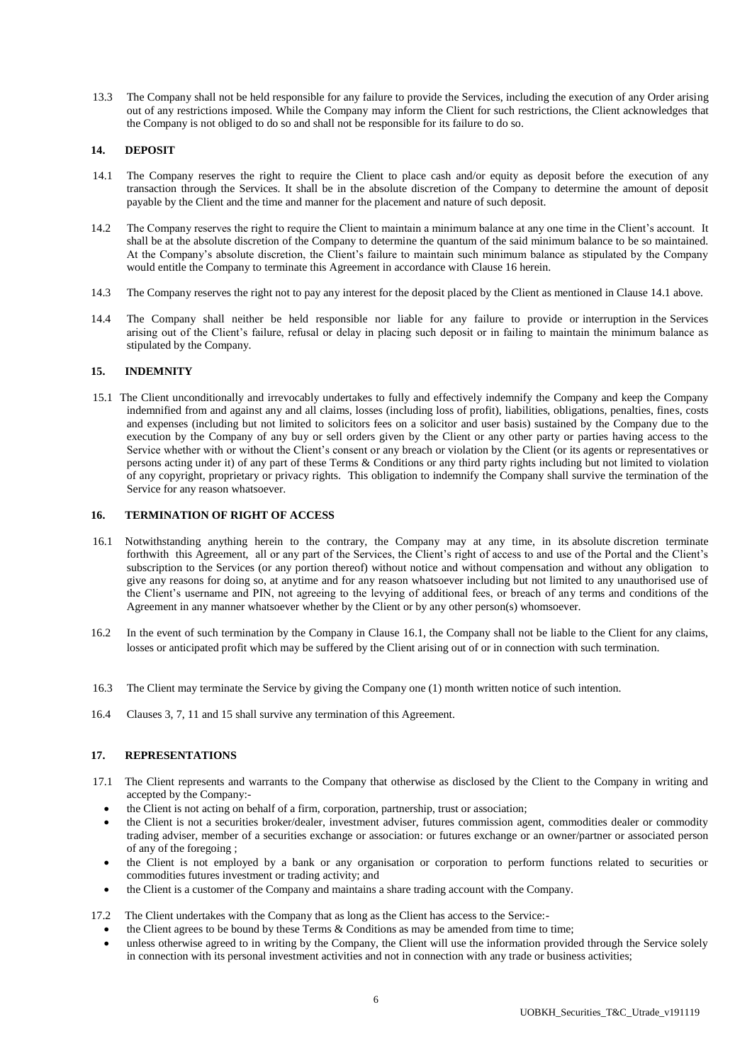13.3 The Company shall not be held responsible for any failure to provide the Services, including the execution of any Order arising out of any restrictions imposed. While the Company may inform the Client for such restrictions, the Client acknowledges that the Company is not obliged to do so and shall not be responsible for its failure to do so.

### **14. DEPOSIT**

- 14.1 The Company reserves the right to require the Client to place cash and/or equity as deposit before the execution of any transaction through the Services. It shall be in the absolute discretion of the Company to determine the amount of deposit payable by the Client and the time and manner for the placement and nature of such deposit.
- 14.2 The Company reserves the right to require the Client to maintain a minimum balance at any one time in the Client's account. It shall be at the absolute discretion of the Company to determine the quantum of the said minimum balance to be so maintained. At the Company's absolute discretion, the Client's failure to maintain such minimum balance as stipulated by the Company would entitle the Company to terminate this Agreement in accordance with Clause 16 herein.
- 14.3 The Company reserves the right not to pay any interest for the deposit placed by the Client as mentioned in Clause 14.1 above.
- 14.4 The Company shall neither be held responsible nor liable for any failure to provide or interruption in the Services arising out of the Client's failure, refusal or delay in placing such deposit or in failing to maintain the minimum balance as stipulated by the Company.

#### **15. INDEMNITY**

15.1 The Client unconditionally and irrevocably undertakes to fully and effectively indemnify the Company and keep the Company indemnified from and against any and all claims, losses (including loss of profit), liabilities, obligations, penalties, fines, costs and expenses (including but not limited to solicitors fees on a solicitor and user basis) sustained by the Company due to the execution by the Company of any buy or sell orders given by the Client or any other party or parties having access to the Service whether with or without the Client's consent or any breach or violation by the Client (or its agents or representatives or persons acting under it) of any part of these Terms & Conditions or any third party rights including but not limited to violation of any copyright, proprietary or privacy rights. This obligation to indemnify the Company shall survive the termination of the Service for any reason whatsoever.

#### **16. TERMINATION OF RIGHT OF ACCESS**

- 16.1 Notwithstanding anything herein to the contrary, the Company may at any time, in its absolute discretion terminate forthwith this Agreement, all or any part of the Services, the Client's right of access to and use of the Portal and the Client's subscription to the Services (or any portion thereof) without notice and without compensation and without any obligation to give any reasons for doing so, at anytime and for any reason whatsoever including but not limited to any unauthorised use of the Client's username and PIN, not agreeing to the levying of additional fees, or breach of any terms and conditions of the Agreement in any manner whatsoever whether by the Client or by any other person(s) whomsoever.
- 16.2 In the event of such termination by the Company in Clause 16.1, the Company shall not be liable to the Client for any claims, losses or anticipated profit which may be suffered by the Client arising out of or in connection with such termination.
- 16.3 The Client may terminate the Service by giving the Company one (1) month written notice of such intention.
- 16.4 Clauses 3, 7, 11 and 15 shall survive any termination of this Agreement.

#### **17. REPRESENTATIONS**

- 17.1 The Client represents and warrants to the Company that otherwise as disclosed by the Client to the Company in writing and accepted by the Company:
	- the Client is not acting on behalf of a firm, corporation, partnership, trust or association;
	- the Client is not a securities broker/dealer, investment adviser, futures commission agent, commodities dealer or commodity trading adviser, member of a securities exchange or association: or futures exchange or an owner/partner or associated person of any of the foregoing ;
	- the Client is not employed by a bank or any organisation or corporation to perform functions related to securities or commodities futures investment or trading activity; and
	- the Client is a customer of the Company and maintains a share trading account with the Company.

17.2 The Client undertakes with the Company that as long as the Client has access to the Service:-

- the Client agrees to be bound by these Terms & Conditions as may be amended from time to time;
- unless otherwise agreed to in writing by the Company, the Client will use the information provided through the Service solely in connection with its personal investment activities and not in connection with any trade or business activities;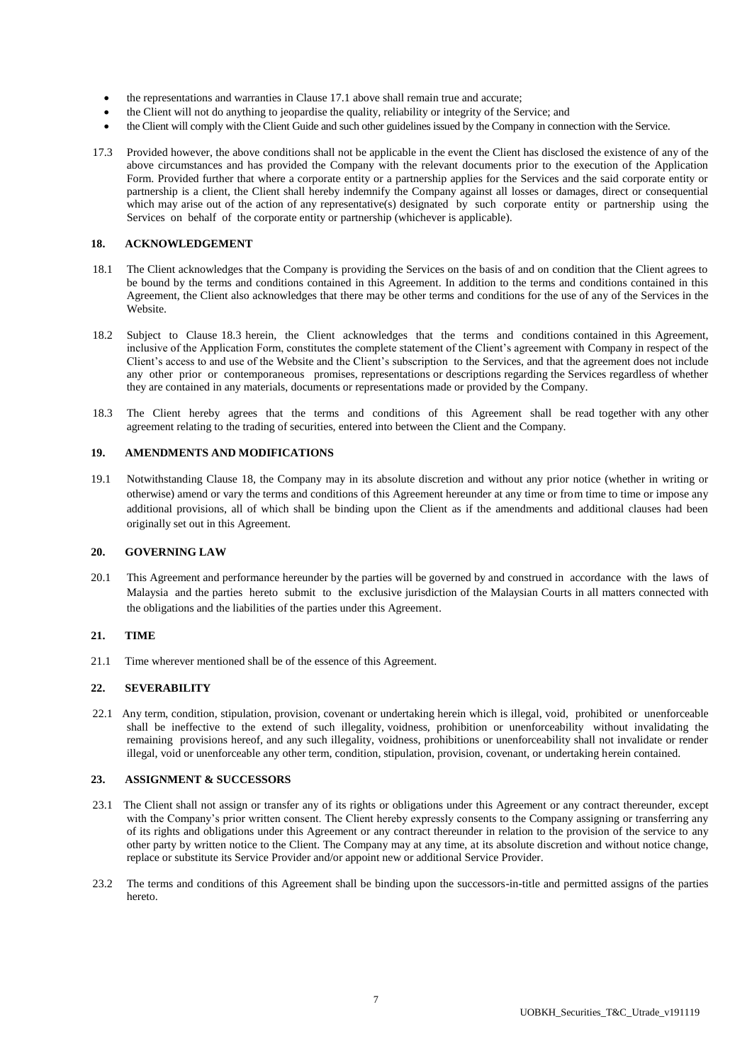- the representations and warranties in Clause 17.1 above shall remain true and accurate;
- the Client will not do anything to jeopardise the quality, reliability or integrity of the Service; and
- the Client will comply with the Client Guide and such other guidelines issued by the Company in connection with the Service.
- 17.3 Provided however, the above conditions shall not be applicable in the event the Client has disclosed the existence of any of the above circumstances and has provided the Company with the relevant documents prior to the execution of the Application Form. Provided further that where a corporate entity or a partnership applies for the Services and the said corporate entity or partnership is a client, the Client shall hereby indemnify the Company against all losses or damages, direct or consequential which may arise out of the action of any representative(s) designated by such corporate entity or partnership using the Services on behalf of the corporate entity or partnership (whichever is applicable).

#### **18. ACKNOWLEDGEMENT**

- 18.1 The Client acknowledges that the Company is providing the Services on the basis of and on condition that the Client agrees to be bound by the terms and conditions contained in this Agreement. In addition to the terms and conditions contained in this Agreement, the Client also acknowledges that there may be other terms and conditions for the use of any of the Services in the Website.
- 18.2 Subject to Clause 18.3 herein, the Client acknowledges that the terms and conditions contained in this Agreement, inclusive of the Application Form, constitutes the complete statement of the Client's agreement with Company in respect of the Client's access to and use of the Website and the Client's subscription to the Services, and that the agreement does not include any other prior or contemporaneous promises, representations or descriptions regarding the Services regardless of whether they are contained in any materials, documents or representations made or provided by the Company.
- 18.3 The Client hereby agrees that the terms and conditions of this Agreement shall be read together with any other agreement relating to the trading of securities, entered into between the Client and the Company.

#### **19. AMENDMENTS AND MODIFICATIONS**

19.1 Notwithstanding Clause 18, the Company may in its absolute discretion and without any prior notice (whether in writing or otherwise) amend or vary the terms and conditions of this Agreement hereunder at any time or from time to time or impose any additional provisions, all of which shall be binding upon the Client as if the amendments and additional clauses had been originally set out in this Agreement.

#### **20. GOVERNING LAW**

20.1 This Agreement and performance hereunder by the parties will be governed by and construed in accordance with the laws of Malaysia and the parties hereto submit to the exclusive jurisdiction of the Malaysian Courts in all matters connected with the obligations and the liabilities of the parties under this Agreement.

#### **21. TIME**

21.1 Time wherever mentioned shall be of the essence of this Agreement.

#### **22. SEVERABILITY**

22.1 Any term, condition, stipulation, provision, covenant or undertaking herein which is illegal, void, prohibited or unenforceable shall be ineffective to the extend of such illegality, voidness, prohibition or unenforceability without invalidating the remaining provisions hereof, and any such illegality, voidness, prohibitions or unenforceability shall not invalidate or render illegal, void or unenforceable any other term, condition, stipulation, provision, covenant, or undertaking herein contained.

#### **23. ASSIGNMENT & SUCCESSORS**

- 23.1 The Client shall not assign or transfer any of its rights or obligations under this Agreement or any contract thereunder, except with the Company's prior written consent. The Client hereby expressly consents to the Company assigning or transferring any of its rights and obligations under this Agreement or any contract thereunder in relation to the provision of the service to any other party by written notice to the Client. The Company may at any time, at its absolute discretion and without notice change, replace or substitute its Service Provider and/or appoint new or additional Service Provider.
- 23.2 The terms and conditions of this Agreement shall be binding upon the successors-in-title and permitted assigns of the parties hereto.